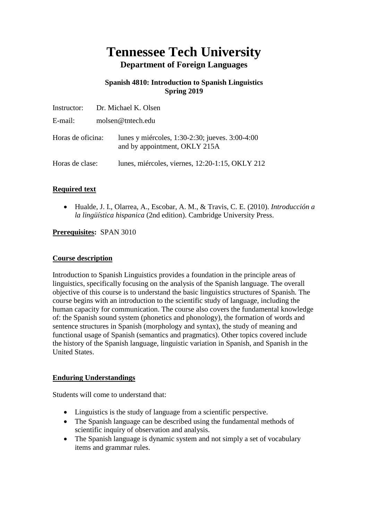# **Tennessee Tech University Department of Foreign Languages**

## **Spanish 4810: Introduction to Spanish Linguistics Spring 2019**

| Instructor:       | Dr. Michael K. Olsen |                                                                                  |  |  |
|-------------------|----------------------|----------------------------------------------------------------------------------|--|--|
| E-mail:           |                      | molsen@tntech.edu                                                                |  |  |
| Horas de oficina: |                      | lunes y miércoles, 1:30-2:30; jueves. 3:00-4:00<br>and by appointment, OKLY 215A |  |  |
| Horas de clase:   |                      | lunes, miércoles, viernes, 12:20-1:15, OKLY 212                                  |  |  |

# **Required text**

 Hualde, J. I., Olarrea, A., Escobar, A. M., & Travis, C. E. (2010). *Introducción a la lingüística hispanica* (2nd edition). Cambridge University Press.

# **Prerequisites:** SPAN 3010

#### **Course description**

Introduction to Spanish Linguistics provides a foundation in the principle areas of linguistics, specifically focusing on the analysis of the Spanish language. The overall objective of this course is to understand the basic linguistics structures of Spanish. The course begins with an introduction to the scientific study of language, including the human capacity for communication. The course also covers the fundamental knowledge of: the Spanish sound system (phonetics and phonology), the formation of words and sentence structures in Spanish (morphology and syntax), the study of meaning and functional usage of Spanish (semantics and pragmatics). Other topics covered include the history of the Spanish language, linguistic variation in Spanish, and Spanish in the United States.

## **Enduring Understandings**

Students will come to understand that:

- Linguistics is the study of language from a scientific perspective.
- The Spanish language can be described using the fundamental methods of scientific inquiry of observation and analysis.
- The Spanish language is dynamic system and not simply a set of vocabulary items and grammar rules.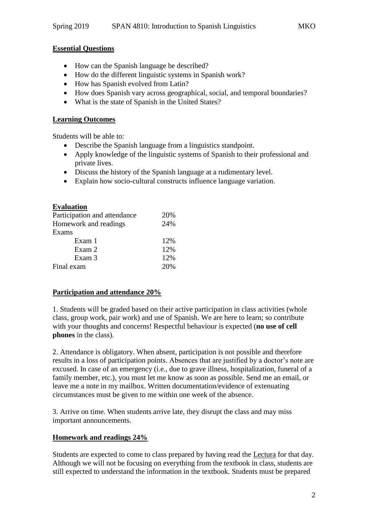#### **Essential Questions**

- How can the Spanish language be described?
- How do the different linguistic systems in Spanish work?
- How has Spanish evolved from Latin?
- How does Spanish vary across geographical, social, and temporal boundaries?
- What is the state of Spanish in the United States?

#### **Learning Outcomes**

Students will be able to:

- Describe the Spanish language from a linguistics standpoint.
- Apply knowledge of the linguistic systems of Spanish to their professional and private lives.
- Discuss the history of the Spanish language at a rudimentary level.
- Explain how socio-cultural constructs influence language variation.

# **Evaluation**

| Participation and attendance | 20\% |
|------------------------------|------|
| Homework and readings        | 24%  |
| Exams                        |      |
| Exam 1                       | 12%  |
| Exam 2                       | 12%  |
| Exam 3                       | 12%  |
| Final exam                   | 20%  |

## **Participation and attendance 20%**

1. Students will be graded based on their active participation in class activities (whole class, group work, pair work) and use of Spanish. We are here to learn; so contribute with your thoughts and concerns! Respectful behaviour is expected (**no use of cell phones** in the class).

2. Attendance is obligatory. When absent, participation is not possible and therefore results in a loss of participation points. Absences that are justified by a doctor's note are excused. In case of an emergency (i.e., due to grave illness, hospitalization, funeral of a family member, etc.), you must let me know as soon as possible. Send me an email, or leave me a note in my mailbox. Written documentation/evidence of extenuating circumstances must be given to me within one week of the absence.

3. Arrive on time. When students arrive late, they disrupt the class and may miss important announcements.

#### **Homework and readings 24%**

Students are expected to come to class prepared by having read the Lectura for that day. Although we will not be focusing on everything from the textbook in class, students are still expected to understand the information in the textbook. Students must be prepared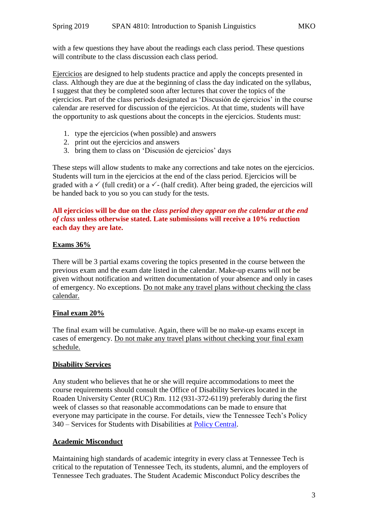with a few questions they have about the readings each class period. These questions will contribute to the class discussion each class period.

Ejercicios are designed to help students practice and apply the concepts presented in class. Although they are due at the beginning of class the day indicated on the syllabus, I suggest that they be completed soon after lectures that cover the topics of the ejercicios. Part of the class periods designated as 'Discusión de ejercicios' in the course calendar are reserved for discussion of the ejercicios. At that time, students will have the opportunity to ask questions about the concepts in the ejercicios. Students must:

- 1. type the ejercicios (when possible) and answers
- 2. print out the ejercicios and answers
- 3. bring them to class on 'Discusión de ejercicios' days

These steps will allow students to make any corrections and take notes on the ejercicios. Students will turn in the ejercicios at the end of the class period. Ejercicios will be graded with a  $\checkmark$  (full credit) or a  $\checkmark$ - (half credit). After being graded, the ejercicios will be handed back to you so you can study for the tests.

## **All ejercicios will be due on the** *class period they appear on the calendar at the end of class* **unless otherwise stated. Late submissions will receive a 10% reduction each day they are late.**

#### **Exams 36%**

There will be 3 partial exams covering the topics presented in the course between the previous exam and the exam date listed in the calendar. Make-up exams will not be given without notification and written documentation of your absence and only in cases of emergency. No exceptions. Do not make any travel plans without checking the class calendar.

#### **Final exam 20%**

The final exam will be cumulative. Again, there will be no make-up exams except in cases of emergency. Do not make any travel plans without checking your final exam schedule.

## **Disability Services**

Any student who believes that he or she will require accommodations to meet the course requirements should consult the Office of Disability Services located in the Roaden University Center (RUC) Rm. 112 (931-372-6119) preferably during the first week of classes so that reasonable accommodations can be made to ensure that everyone may participate in the course. For details, view the Tennessee Tech's Policy 340 – Services for Students with Disabilities at [Policy Central.](https://www.tntech.edu/policies/)

## **Academic Misconduct**

Maintaining high standards of academic integrity in every class at Tennessee Tech is critical to the reputation of Tennessee Tech, its students, alumni, and the employers of Tennessee Tech graduates. The Student Academic Misconduct Policy describes the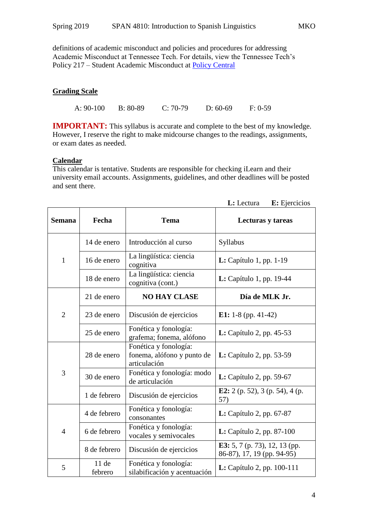definitions of academic misconduct and policies and procedures for addressing Academic Misconduct at Tennessee Tech. For details, view the Tennessee Tech's Policy 217 – Student Academic Misconduct at [Policy Central](https://www.tntech.edu/policies/)

#### **Grading Scale**

A: 90-100 B: 80-89 C: 70-79 D: 60-69 F: 0-59

**IMPORTANT:** This syllabus is accurate and complete to the best of my knowledge. However, I reserve the right to make midcourse changes to the readings, assignments, or exam dates as needed.

#### **Calendar**

This calendar is tentative. Students are responsible for checking iLearn and their university email accounts. Assignments, guidelines, and other deadlines will be posted and sent there.

| <b>Semana</b>  | Fecha           | <b>Tema</b>                                                         | Lecturas y tareas                                           |
|----------------|-----------------|---------------------------------------------------------------------|-------------------------------------------------------------|
| 1              | 14 de enero     | Introducción al curso                                               | Syllabus                                                    |
|                | 16 de enero     | La lingüística: ciencia<br>cognitiva                                | $L: Capitulo 1, pp. 1-19$                                   |
|                | 18 de enero     | La lingüística: ciencia<br>cognitiva (cont.)                        | L: Capítulo 1, pp. 19-44                                    |
| $\overline{2}$ | 21 de enero     | <b>NO HAY CLASE</b>                                                 | Día de MLK Jr.                                              |
|                | 23 de enero     | Discusión de ejercicios                                             | E1: $1-8$ (pp. 41-42)                                       |
|                | 25 de enero     | Fonética y fonología:<br>grafema; fonema, alófono                   | <b>L:</b> Capítulo 2, pp. 45-53                             |
| 3              | 28 de enero     | Fonética y fonología:<br>fonema, alófono y punto de<br>articulación | <b>L:</b> Capítulo 2, pp. 53-59                             |
|                | 30 de enero     | Fonética y fonología: modo<br>de articulación                       | <b>L:</b> Capítulo 2, pp. 59-67                             |
|                | 1 de febrero    | Discusión de ejercicios                                             | E2: 2 (p. 52), 3 (p. 54), 4 (p.<br>57)                      |
| $\overline{4}$ | 4 de febrero    | Fonética y fonología:<br>consonantes                                | L: Capítulo 2, pp. 67-87                                    |
|                | 6 de febrero    | Fonética y fonología:<br>vocales y semivocales                      | <b>L:</b> Capítulo 2, pp. 87-100                            |
|                | 8 de febrero    | Discusión de ejercicios                                             | E3: 5, 7 (p. 73), 12, 13 (pp.<br>86-87), 17, 19 (pp. 94-95) |
| 5              | 11de<br>febrero | Fonética y fonología:<br>silabificación y acentuación               | <b>L:</b> Capítulo 2, pp. $100-111$                         |

 **L:** Lectura **E:** Ejercicios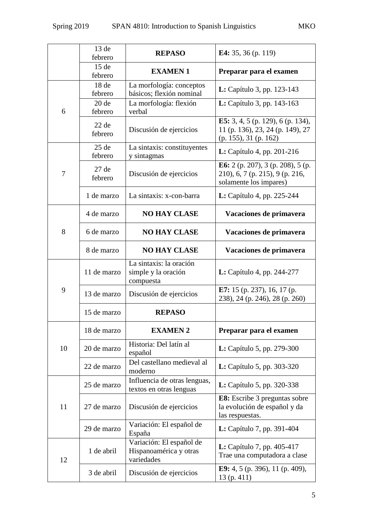|    | 13de<br>febrero    | <b>REPASO</b>                                                    | E4: 35, 36 (p. 119)                                                                            |
|----|--------------------|------------------------------------------------------------------|------------------------------------------------------------------------------------------------|
|    | 15de<br>febrero    | <b>EXAMEN1</b>                                                   | Preparar para el examen                                                                        |
| 6  | 18de<br>febrero    | La morfología: conceptos<br>básicos; flexión nominal             | L: Capítulo 3, pp. 123-143                                                                     |
|    | 20de<br>febrero    | La morfología: flexión<br>verbal                                 | <b>L:</b> Capítulo 3, pp. 143-163                                                              |
|    | 22de<br>febrero    | Discusión de ejercicios                                          | E5: 3, 4, 5 (p. 129), 6 (p. 134),<br>11 (p. 136), 23, 24 (p. 149), 27<br>(p. 155), 31 (p. 162) |
| 7  | $25$ de<br>febrero | La sintaxis: constituyentes<br>y sintagmas                       | L: Capítulo 4, pp. 201-216                                                                     |
|    | 27de<br>febrero    | Discusión de ejercicios                                          | E6: 2 (p. 207), 3 (p. 208), 5 (p.<br>210), 6, 7 (p. 215), 9 (p. 216,<br>solamente los impares) |
|    | 1 de marzo         | La sintaxis: x-con-barra                                         | L: Capítulo 4, pp. 225-244                                                                     |
| 8  | 4 de marzo         | <b>NO HAY CLASE</b>                                              | Vacaciones de primavera                                                                        |
|    | 6 de marzo         | <b>NO HAY CLASE</b>                                              | Vacaciones de primavera                                                                        |
|    | 8 de marzo         | <b>NO HAY CLASE</b>                                              | Vacaciones de primavera                                                                        |
| 9  | 11 de marzo        | La sintaxis: la oración<br>simple y la oración<br>compuesta      | <b>L:</b> Capítulo 4, pp. 244-277                                                              |
|    | 13 de marzo        | Discusión de ejercicios                                          | E7: 15 (p. 237), 16, 17 (p.<br>238), 24 (p. 246), 28 (p. 260)                                  |
|    | 15 de marzo        | <b>REPASO</b>                                                    |                                                                                                |
| 10 | 18 de marzo        | <b>EXAMEN 2</b>                                                  | Preparar para el examen                                                                        |
|    | 20 de marzo        | Historia: Del latín al<br>español                                | L: Capítulo 5, pp. 279-300                                                                     |
|    | 22 de marzo        | Del castellano medieval al<br>moderno                            | <b>L:</b> Capítulo 5, pp. 303-320                                                              |
| 11 | 25 de marzo        | Influencia de otras lenguas,<br>textos en otras lenguas          | <b>L:</b> Capítulo 5, pp. 320-338                                                              |
|    | 27 de marzo        | Discusión de ejercicios                                          | E8: Escribe 3 preguntas sobre<br>la evolución de español y da<br>las respuestas.               |
|    | 29 de marzo        | Variación: El español de<br>España                               | <b>L:</b> Capítulo 7, pp. 391-404                                                              |
| 12 | 1 de abril         | Variación: El español de<br>Hispanoamérica y otras<br>variedades | <b>L:</b> Capítulo 7, pp. 405-417<br>Trae una computadora a clase                              |
|    | 3 de abril         | Discusión de ejercicios                                          | <b>E9:</b> 4, 5 (p. 396), 11 (p. 409),<br>13(p. 411)                                           |